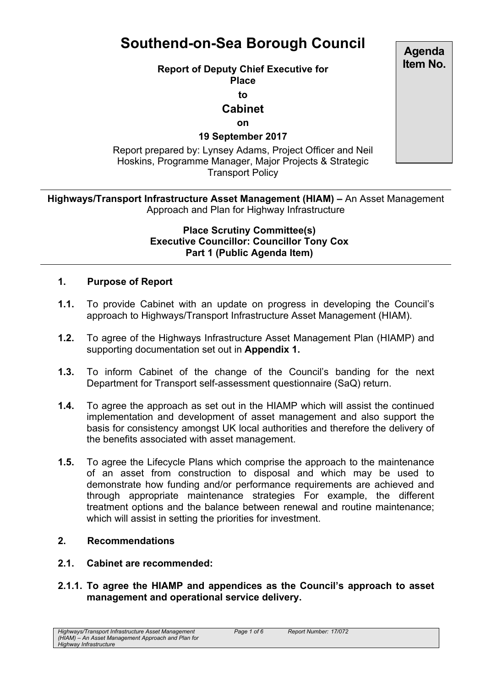# **Southend-on-Sea Borough Council**

## **Report of Deputy Chief Executive for**

**Place**

**to**

# **Cabinet**

**on**

## **19 September 2017**

Report prepared by: Lynsey Adams, Project Officer and Neil Hoskins, Programme Manager, Major Projects & Strategic Transport Policy

## **Highways/Transport Infrastructure Asset Management (HIAM) –** An Asset Management Approach and Plan for Highway Infrastructure

#### **Place Scrutiny Committee(s) Executive Councillor: Councillor Tony Cox Part 1 (Public Agenda Item)**

# **1. Purpose of Report**

- **1.1.** To provide Cabinet with an update on progress in developing the Council's approach to Highways/Transport Infrastructure Asset Management (HIAM).
- **1.2.** To agree of the Highways Infrastructure Asset Management Plan (HIAMP) and supporting documentation set out in **Appendix 1.**
- **1.3.** To inform Cabinet of the change of the Council's banding for the next Department for Transport self-assessment questionnaire (SaQ) return.
- **1.4.** To agree the approach as set out in the HIAMP which will assist the continued implementation and development of asset management and also support the basis for consistency amongst UK local authorities and therefore the delivery of the benefits associated with asset management.
- **1.5.** To agree the Lifecycle Plans which comprise the approach to the maintenance of an asset from construction to disposal and which may be used to demonstrate how funding and/or performance requirements are achieved and through appropriate maintenance strategies For example, the different treatment options and the balance between renewal and routine maintenance; which will assist in setting the priorities for investment.

## **2. Recommendations**

#### **2.1. Cabinet are recommended:**

**2.1.1. To agree the HIAMP and appendices as the Council's approach to asset management and operational service delivery.**

**Agenda Item No.**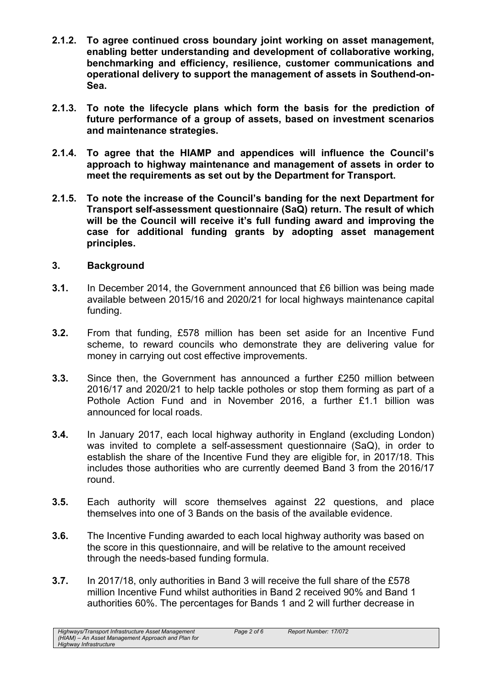- **2.1.2. To agree continued cross boundary joint working on asset management, enabling better understanding and development of collaborative working, benchmarking and efficiency, resilience, customer communications and operational delivery to support the management of assets in Southend-on-Sea.**
- **2.1.3. To note the lifecycle plans which form the basis for the prediction of future performance of a group of assets, based on investment scenarios and maintenance strategies.**
- **2.1.4. To agree that the HIAMP and appendices will influence the Council's approach to highway maintenance and management of assets in order to meet the requirements as set out by the Department for Transport.**
- **2.1.5. To note the increase of the Council's banding for the next Department for Transport self-assessment questionnaire (SaQ) return. The result of which will be the Council will receive it's full funding award and improving the case for additional funding grants by adopting asset management principles.**

#### **3. Background**

- **3.1.** In December 2014, the Government announced that £6 billion was being made available between 2015/16 and 2020/21 for local highways maintenance capital funding.
- **3.2.** From that funding, £578 million has been set aside for an Incentive Fund scheme, to reward councils who demonstrate they are delivering value for money in carrying out cost effective improvements.
- **3.3.** Since then, the Government has announced a further £250 million between 2016/17 and 2020/21 to help tackle potholes or stop them forming as part of a Pothole Action Fund and in November 2016, a further £1.1 billion was announced for local roads.
- **3.4.** In January 2017, each local highway authority in England (excluding London) was invited to complete a self-assessment questionnaire (SaQ), in order to establish the share of the Incentive Fund they are eligible for, in 2017/18. This includes those authorities who are currently deemed Band 3 from the 2016/17 round.
- **3.5.** Each authority will score themselves against 22 questions, and place themselves into one of 3 Bands on the basis of the available evidence.
- **3.6.** The Incentive Funding awarded to each local highway authority was based on the score in this questionnaire, and will be relative to the amount received through the needs-based funding formula.
- **3.7.** In 2017/18, only authorities in Band 3 will receive the full share of the £578 million Incentive Fund whilst authorities in Band 2 received 90% and Band 1 authorities 60%. The percentages for Bands 1 and 2 will further decrease in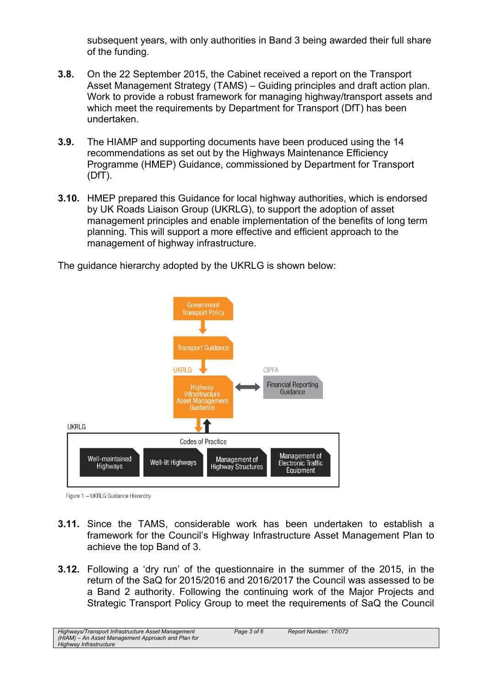subsequent years, with only authorities in Band 3 being awarded their full share of the funding.

- **3.8.** On the 22 September 2015, the Cabinet received a report on the Transport Asset Management Strategy (TAMS) – Guiding principles and draft action plan. Work to provide a robust framework for managing highway/transport assets and which meet the requirements by Department for Transport (DfT) has been undertaken.
- **3.9.** The HIAMP and supporting documents have been produced using the 14 recommendations as set out by the Highways Maintenance Efficiency Programme (HMEP) Guidance, commissioned by Department for Transport  $(DfT)$ .
- **3.10.** HMEP prepared this Guidance for local highway authorities, which is endorsed by UK Roads Liaison Group (UKRLG), to support the adoption of asset management principles and enable implementation of the benefits of long term planning. This will support a more effective and efficient approach to the management of highway infrastructure.

The guidance hierarchy adopted by the UKRLG is shown below:



Figure 1 - UKRLG Guidance Hierarchy

- **3.11.** Since the TAMS, considerable work has been undertaken to establish a framework for the Council's Highway Infrastructure Asset Management Plan to achieve the top Band of 3.
- **3.12.** Following a 'dry run' of the questionnaire in the summer of the 2015, in the return of the SaQ for 2015/2016 and 2016/2017 the Council was assessed to be a Band 2 authority. Following the continuing work of the Major Projects and Strategic Transport Policy Group to meet the requirements of SaQ the Council

*Highways/Transport Infrastructure Asset Management (HIAM) – An Asset Management Approach and Plan for Highway Infrastructure*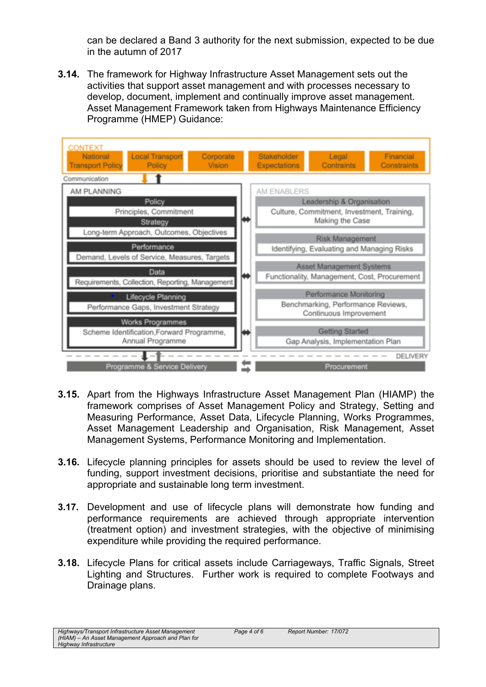can be declared a Band 3 authority for the next submission, expected to be due in the autumn of 2017

**3.14.** The framework for Highway Infrastructure Asset Management sets out the activities that support asset management and with processes necessary to develop, document, implement and continually improve asset management. Asset Management Framework taken from Highways Maintenance Efficiency Programme (HMEP) Guidance:



- **3.15.** Apart from the Highways Infrastructure Asset Management Plan (HIAMP) the framework comprises of Asset Management Policy and Strategy, Setting and Measuring Performance, Asset Data, Lifecycle Planning, Works Programmes, Asset Management Leadership and Organisation, Risk Management, Asset Management Systems, Performance Monitoring and Implementation.
- **3.16.** Lifecycle planning principles for assets should be used to review the level of funding, support investment decisions, prioritise and substantiate the need for appropriate and sustainable long term investment.
- **3.17.** Development and use of lifecycle plans will demonstrate how funding and performance requirements are achieved through appropriate intervention (treatment option) and investment strategies, with the objective of minimising expenditure while providing the required performance.
- **3.18.** Lifecycle Plans for critical assets include Carriageways, Traffic Signals, Street Lighting and Structures. Further work is required to complete Footways and Drainage plans.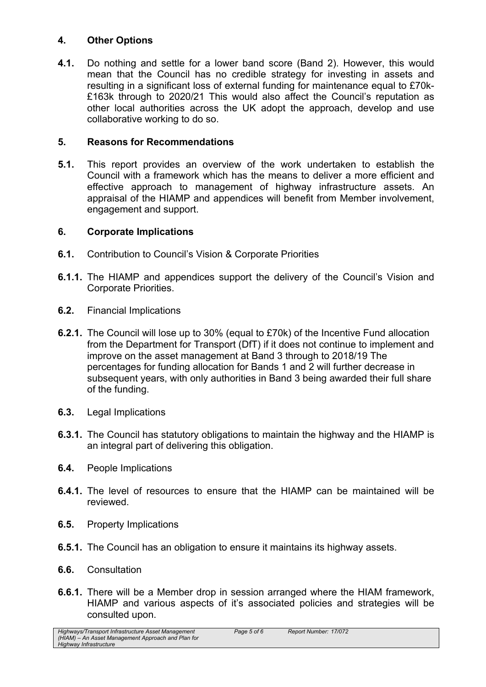## **4. Other Options**

**4.1.** Do nothing and settle for a lower band score (Band 2). However, this would mean that the Council has no credible strategy for investing in assets and resulting in a significant loss of external funding for maintenance equal to £70k- £163k through to 2020/21 This would also affect the Council's reputation as other local authorities across the UK adopt the approach, develop and use collaborative working to do so.

## **5. Reasons for Recommendations**

**5.1.** This report provides an overview of the work undertaken to establish the Council with a framework which has the means to deliver a more efficient and effective approach to management of highway infrastructure assets. An appraisal of the HIAMP and appendices will benefit from Member involvement, engagement and support.

## **6. Corporate Implications**

- **6.1.** Contribution to Council's Vision & Corporate Priorities
- **6.1.1.** The HIAMP and appendices support the delivery of the Council's Vision and Corporate Priorities.
- **6.2.** Financial Implications
- **6.2.1.** The Council will lose up to 30% (equal to £70k) of the Incentive Fund allocation from the Department for Transport (DfT) if it does not continue to implement and improve on the asset management at Band 3 through to 2018/19 The percentages for funding allocation for Bands 1 and 2 will further decrease in subsequent years, with only authorities in Band 3 being awarded their full share of the funding.
- **6.3.** Legal Implications
- **6.3.1.** The Council has statutory obligations to maintain the highway and the HIAMP is an integral part of delivering this obligation.
- **6.4.** People Implications
- **6.4.1.** The level of resources to ensure that the HIAMP can be maintained will be reviewed.
- **6.5.** Property Implications
- **6.5.1.** The Council has an obligation to ensure it maintains its highway assets.
- **6.6.** Consultation
- **6.6.1.** There will be a Member drop in session arranged where the HIAM framework, HIAMP and various aspects of it's associated policies and strategies will be consulted upon.

*Highways/Transport Infrastructure Asset Management (HIAM) – An Asset Management Approach and Plan for Highway Infrastructure*